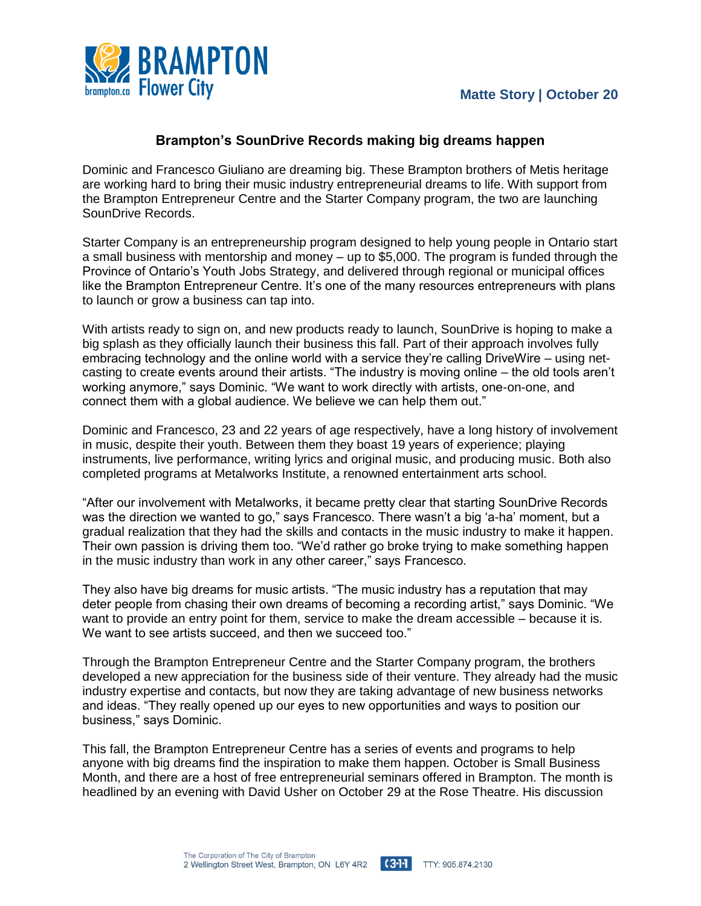

## **Brampton's SounDrive Records making big dreams happen**

Dominic and Francesco Giuliano are dreaming big. These Brampton brothers of Metis heritage are working hard to bring their music industry entrepreneurial dreams to life. With support from the Brampton Entrepreneur Centre and the Starter Company program, the two are launching SounDrive Records.

Starter Company is an entrepreneurship program designed to help young people in Ontario start a small business with mentorship and money – up to \$5,000. The program is funded through the Province of Ontario's Youth Jobs Strategy, and delivered through regional or municipal offices like the Brampton Entrepreneur Centre. It's one of the many resources entrepreneurs with plans to launch or grow a business can tap into.

With artists ready to sign on, and new products ready to launch, SounDrive is hoping to make a big splash as they officially launch their business this fall. Part of their approach involves fully embracing technology and the online world with a service they're calling DriveWire – using netcasting to create events around their artists. "The industry is moving online – the old tools aren't working anymore," says Dominic. "We want to work directly with artists, one-on-one, and connect them with a global audience. We believe we can help them out."

Dominic and Francesco, 23 and 22 years of age respectively, have a long history of involvement in music, despite their youth. Between them they boast 19 years of experience; playing instruments, live performance, writing lyrics and original music, and producing music. Both also completed programs at Metalworks Institute, a renowned entertainment arts school.

"After our involvement with Metalworks, it became pretty clear that starting SounDrive Records was the direction we wanted to go," says Francesco. There wasn't a big 'a-ha' moment, but a gradual realization that they had the skills and contacts in the music industry to make it happen. Their own passion is driving them too. "We'd rather go broke trying to make something happen in the music industry than work in any other career," says Francesco.

They also have big dreams for music artists. "The music industry has a reputation that may deter people from chasing their own dreams of becoming a recording artist," says Dominic. "We want to provide an entry point for them, service to make the dream accessible – because it is. We want to see artists succeed, and then we succeed too."

Through the Brampton Entrepreneur Centre and the Starter Company program, the brothers developed a new appreciation for the business side of their venture. They already had the music industry expertise and contacts, but now they are taking advantage of new business networks and ideas. "They really opened up our eyes to new opportunities and ways to position our business," says Dominic.

This fall, the Brampton Entrepreneur Centre has a series of events and programs to help anyone with big dreams find the inspiration to make them happen. October is Small Business Month, and there are a host of free entrepreneurial seminars offered in Brampton. The month is headlined by an evening with David Usher on October 29 at the Rose Theatre. His discussion